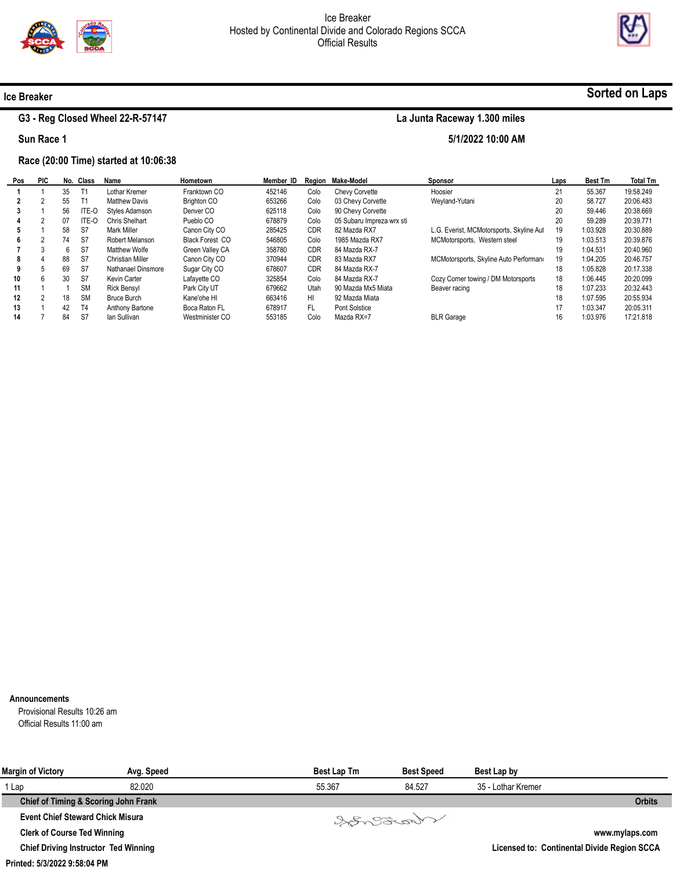

5/1/2022 10:00 AM



# Sorted on Laps

# G3 - Reg Closed Wheel 22-R-57147

Sun Race 1

Ice Breaker

### Race (20:00 Time) started at 10:06:38

| Pos | <b>PIC</b> |    | No. Class | Name               | Hometown               | Member ID |            | Region Make-Model         | <b>Sponsor</b>                           | Laps | <b>Best Tm</b> | <b>Total Tm</b> |
|-----|------------|----|-----------|--------------------|------------------------|-----------|------------|---------------------------|------------------------------------------|------|----------------|-----------------|
|     |            | 35 |           | Lothar Kremer      | Franktown CO           | 452146    | Colo       | <b>Chevy Corvette</b>     | Hoosier                                  | 21   | 55.367         | 19:58.249       |
|     |            | 55 |           | Matthew Davis      | <b>Brighton CO</b>     | 653266    | Colo       | 03 Chevy Corvette         | Weyland-Yutani                           | 20   | 58.727         | 20:06.483       |
|     |            | 56 | ITE-O     | Styles Adamson     | Denver CO              | 625118    | Colo       | 90 Chevy Corvette         |                                          | 20   | 59.446         | 20:38.669       |
|     |            | 07 | ITE-O     | Chris Shelhart     | Pueblo CO              | 678879    | Colo       | 05 Subaru Impreza wrx sti |                                          | 20   | 59.289         | 20:39.771       |
|     |            | 58 | S7        | Mark Miller        | Canon City CO          | 285425    | <b>CDR</b> | 82 Mazda RX7              | L.G. Everist, MCMotorsports, Skyline Aut | 19   | 1:03.928       | 20:30.889       |
| 6   |            | 74 | S7        | Robert Melanson    | <b>Black Forest CO</b> | 546805    | Colo       | 1985 Mazda RX7            | MCMotorsports. Western steel             | 19   | 1:03.513       | 20:39.876       |
|     |            | 6  | S7        | Matthew Wolfe      | Green Valley CA        | 358780    | <b>CDR</b> | 84 Mazda RX-7             |                                          | 19   | 1:04.531       | 20:40.960       |
| 8   |            | 88 | S7        | Christian Miller   | Canon City CO          | 370944    | <b>CDR</b> | 83 Mazda RX7              | MCMotorsports, Skyline Auto Performano   | 19   | 1:04.205       | 20:46.757       |
|     |            | 69 | S7        | Nathanael Dinsmore | Sugar City CO          | 678607    | <b>CDR</b> | 84 Mazda RX-7             |                                          | 18   | 1:05.828       | 20:17.338       |
| 10  | h          | 30 | S7        | Kevin Carter       | Lafavette CO           | 325854    | Colo       | 84 Mazda RX-7             | Cozy Corner towing / DM Motorsports      | 18   | 1:06.445       | 20:20.099       |
| 11  |            |    | <b>SM</b> | <b>Rick Bensyl</b> | Park City UT           | 679662    | Utah       | 90 Mazda Mx5 Miata        | Beaver racing                            | 18   | 1:07.233       | 20:32.443       |
| 12  |            | 18 | <b>SM</b> | Bruce Burch        | Kane'ohe HI            | 663416    | HI         | 92 Mazda Miata            |                                          | 18   | 1:07.595       | 20:55.934       |
| 13  |            | 42 | T4        | Anthony Bartone    | Boca Raton FL          | 678917    | FL.        | Pont Solstice             |                                          | 17   | 1:03.347       | 20:05.311       |
| 14  |            | 84 | S7        | lan Sullivan       | Westminister CO        | 553185    | Colo       | Mazda RX=7                | <b>BLR Garage</b>                        | 16   | 1:03.976       | 17:21.818       |

#### Announcements

Provisional Results 10:26 am Official Results 11:00 am

| <b>Margin of Victory</b>                    | Avg. Speed | <b>Best Lap Tm</b> | <b>Best Speed</b> | Best Lap by        |                                             |
|---------------------------------------------|------------|--------------------|-------------------|--------------------|---------------------------------------------|
| 1 Lap                                       | 82.020     | 55.367             | 84.527            | 35 - Lothar Kremer |                                             |
| Chief of Timing & Scoring John Frank        |            |                    |                   |                    | <b>Orbits</b>                               |
| <b>Event Chief Steward Chick Misura</b>     |            |                    | Songonal          |                    |                                             |
| <b>Clerk of Course Ted Winning</b>          |            |                    |                   |                    | www.mylaps.com                              |
| <b>Chief Driving Instructor Ted Winning</b> |            |                    |                   |                    | Licensed to: Continental Divide Region SCCA |

Printed: 5/3/2022 9:58:04 PM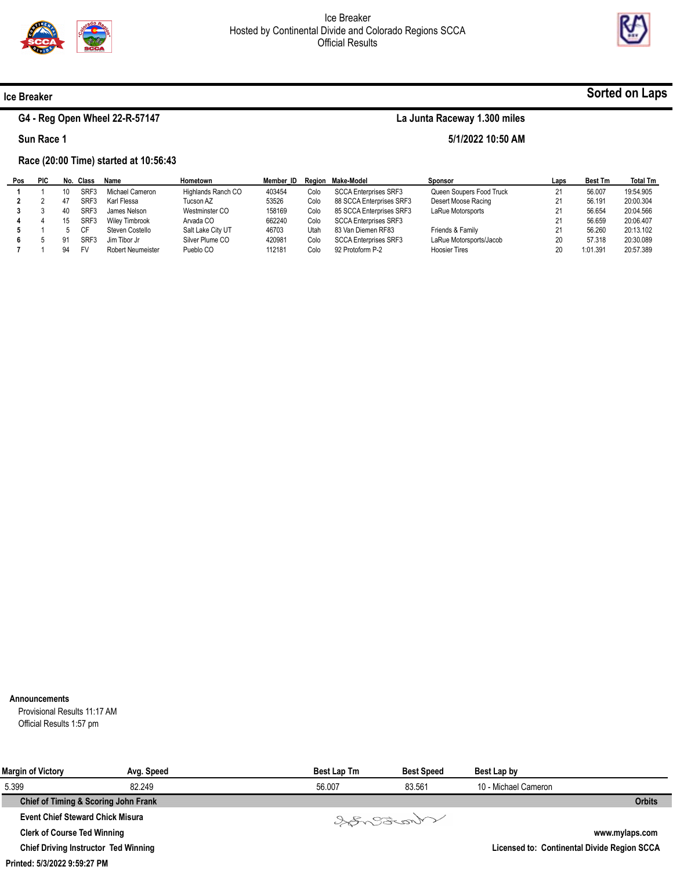

5/1/2022 10:50 AM



### Ice Breaker

 $\blacksquare$ 

## G4 - Reg Open Wheel 22-R-57147

Sun Race 1

### Race (20:00 Time) started at 10:56:43

| Pos | PIC | No. | Class     | Name                  | Hometown           | Member ID |      | Region Make-Model            | Sponsor                  | Laps | <b>Best Tm</b> | <b>Total Tm</b> |
|-----|-----|-----|-----------|-----------------------|--------------------|-----------|------|------------------------------|--------------------------|------|----------------|-----------------|
|     |     |     | SRF3      | Michael Cameron       | Highlands Ranch CO | 403454    | Colo | <b>SCCA Enterprises SRF3</b> | Queen Soupers Food Truck | 21   | 56.007         | 19:54.905       |
|     |     | 47  | SRF3      | Karl Flessa           | Tucson AZ          | 53526     | Colo | 88 SCCA Enterprises SRF3     | Desert Moose Racing      | 21   | 56.191         | 20:00.304       |
|     |     | 40  | SRF3      | James Nelson          | Westminster CO     | 158169    | Colo | 85 SCCA Enterprises SRF3     | LaRue Motorsports        | 21   | 56.654         | 20:04.566       |
| 4   |     |     | SRF3      | <b>Wiley Timbrook</b> | Arvada CO          | 662240    | Colo | <b>SCCA Enterprises SRF3</b> |                          | 21   | 56.659         | 20:06.407       |
|     |     |     | <b>CF</b> | Steven Costello       | Salt Lake City UT  | 46703     | Utah | 83 Van Diemen RF83           | Friends & Family         |      | 56.260         | 20:13.102       |
|     |     | 91  | SRF3      | Jim Tibor Jr          | Silver Plume CO    | 420981    | Colo | <b>SCCA Enterprises SRF3</b> | LaRue Motorsports/Jacob  | 20   | 57.318         | 20:30.089       |
|     |     | 94  | <b>FV</b> | Robert Neumeister     | Pueblo CO          | 112181    | Colo | 92 Protoform P-2             | <b>Hoosier Tires</b>     | 20   | 1:01.391       | 20:57.389       |

#### Announcements

Provisional Results 11:17 AM Official Results 1:57 pm

| <b>Margin of Victory</b>                    | Avg. Speed | <b>Best Lap Tm</b> | <b>Best Speed</b> | Best Lap by          |                                             |
|---------------------------------------------|------------|--------------------|-------------------|----------------------|---------------------------------------------|
| 5.399                                       | 82.249     | 56.007             | 83.561            | 10 - Michael Cameron |                                             |
| Chief of Timing & Scoring John Frank        |            |                    |                   |                      | <b>Orbits</b>                               |
| <b>Event Chief Steward Chick Misura</b>     |            |                    | Varant            |                      |                                             |
| <b>Clerk of Course Ted Winning</b>          |            |                    |                   |                      | www.mylaps.com                              |
| <b>Chief Driving Instructor Ted Winning</b> |            |                    |                   |                      | Licensed to: Continental Divide Region SCCA |

#### Printed: 5/3/2022 9:59:27 PM

# Sorted on Laps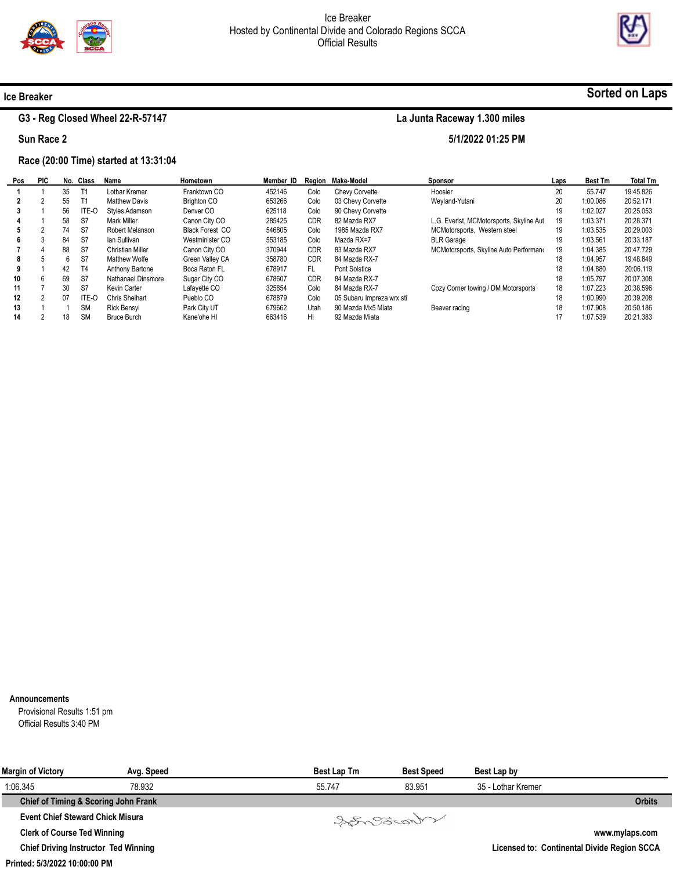

5/1/2022 01:25 PM



# Sorted on Laps

# G3 - Reg Closed Wheel 22-R-57147

Sun Race 2

Ice Breaker

### Race (20:00 Time) started at 13:31:04

| Pos | <b>PIC</b> |    | No. Class | Name                    | Hometown               | Member ID |            | Region Make-Model         | <b>Sponsor</b>                           | Laps | <b>Best Tm</b> | <b>Total Tm</b> |
|-----|------------|----|-----------|-------------------------|------------------------|-----------|------------|---------------------------|------------------------------------------|------|----------------|-----------------|
|     |            | 35 |           | Lothar Kremer           | Franktown CO           | 452146    | Colo       | <b>Chevy Corvette</b>     | Hoosier                                  | 20   | 55.747         | 19:45.826       |
|     |            | 55 |           | <b>Matthew Davis</b>    | <b>Brighton CO</b>     | 653266    | Colo       | 03 Chevy Corvette         | Weyland-Yutani                           | 20   | 1:00.086       | 20:52.171       |
|     |            | 56 | ITE-O     | Styles Adamson          | Denver CO              | 625118    | Colo       | 90 Chevy Corvette         |                                          | 19   | 1:02.027       | 20:25.053       |
|     |            | 58 | S7        | Mark Miller             | Canon City CO          | 285425    | <b>CDR</b> | 82 Mazda RX7              | L.G. Everist, MCMotorsports, Skyline Aut | 19   | 1:03.371       | 20:28.371       |
|     |            | 74 | S7        | Robert Melanson         | <b>Black Forest CO</b> | 546805    | Colo       | 1985 Mazda RX7            | MCMotorsports, Western steel             | 19   | 1:03.535       | 20:29.003       |
| 6.  |            | 84 | S7        | lan Sullivan            | Westminister CO        | 553185    | Colo       | Mazda RX=7                | <b>BLR Garage</b>                        | 19   | 1:03.561       | 20:33.187       |
|     |            | 88 | S7        | <b>Christian Miller</b> | Canon City CO          | 370944    | <b>CDR</b> | 83 Mazda RX7              | MCMotorsports, Skyline Auto Performano   | 19   | 1:04.385       | 20:47.729       |
| 8   |            | 6  | S7        | Matthew Wolfe           | Green Valley CA        | 358780    | <b>CDR</b> | 84 Mazda RX-7             |                                          | 18   | 1:04.957       | 19:48.849       |
| 9   |            | 42 | T4        | Anthony Bartone         | Boca Raton FL          | 678917    | FL.        | Pont Solstice             |                                          | 18   | 1:04.880       | 20:06.119       |
| 10  | h          | 69 | S7        | Nathanael Dinsmore      | Sugar City CO          | 678607    | <b>CDR</b> | 84 Mazda RX-7             |                                          | 18   | 1:05.797       | 20:07.308       |
| 11  |            | 30 | S7        | Kevin Carter            | Lafayette CO           | 325854    | Colo       | 84 Mazda RX-7             | Cozy Corner towing / DM Motorsports      | 18   | 1:07.223       | 20:38.596       |
| 12  |            | 07 | ITE-O     | Chris Shelhart          | Pueblo CO              | 678879    | Colo       | 05 Subaru Impreza wrx sti |                                          | 18   | 1:00.990       | 20:39.208       |
| 13  |            |    | <b>SM</b> | <b>Rick Bensyl</b>      | Park City UT           | 679662    | Utah       | 90 Mazda Mx5 Miata        | Beaver racing                            | 18   | 1:07.908       | 20:50.186       |
| 14  |            | 18 | <b>SM</b> | <b>Bruce Burch</b>      | Kane'ohe HI            | 663416    | HI         | 92 Mazda Miata            |                                          | 17   | 1:07.539       | 20:21.383       |

#### Announcements

Provisional Results 1:51 pm Official Results 3:40 PM

| <b>Margin of Victory</b>                    | Avg. Speed | <b>Best Lap Tm</b> | <b>Best Speed</b> | Best Lap by        |                                             |
|---------------------------------------------|------------|--------------------|-------------------|--------------------|---------------------------------------------|
| 1:06.345                                    | 78.932     | 55.747             | 83.951            | 35 - Lothar Kremer |                                             |
| Chief of Timing & Scoring John Frank        |            |                    |                   |                    | <b>Orbits</b>                               |
| <b>Event Chief Steward Chick Misura</b>     |            |                    | Varant            |                    |                                             |
| <b>Clerk of Course Ted Winning</b>          |            |                    |                   |                    | www.mylaps.com                              |
| <b>Chief Driving Instructor Ted Winning</b> |            |                    |                   |                    | Licensed to: Continental Divide Region SCCA |

Printed: 5/3/2022 10:00:00 PM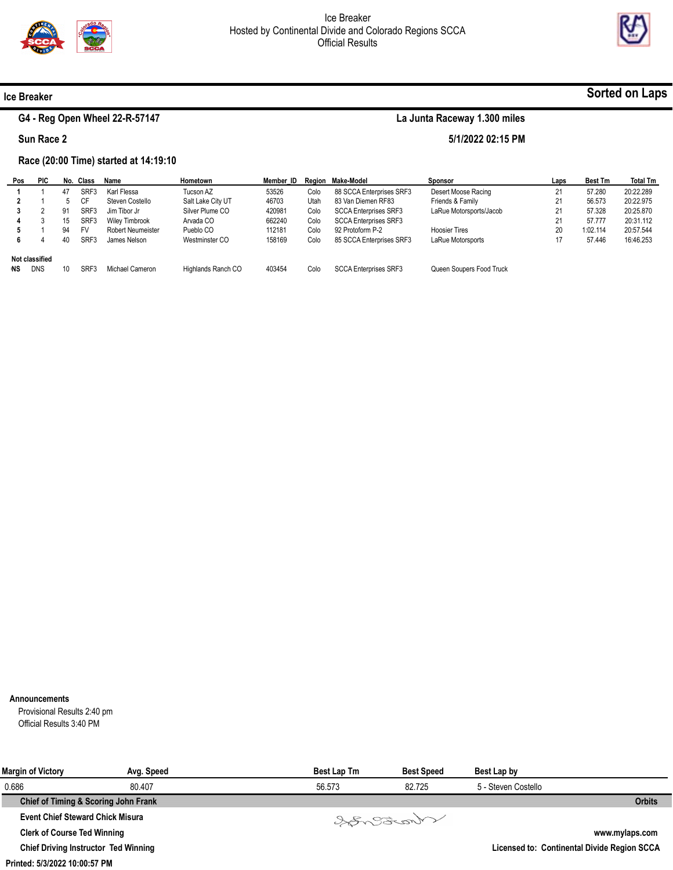



### Ice Breaker

## G4 - Reg Open Wheel 22-R-57147

La Junta Raceway 1.300 miles

5/1/2022 02:15 PM

Sun Race 2

### Race (20:00 Time) started at 14:19:10

| Pos       | <b>PIC</b>     | No. | Class     | Name                     | Hometown           | Member ID |      | Region Make-Model            | Sponsor                  | Laps | <b>Best Tm</b> | <b>Total Tm</b> |
|-----------|----------------|-----|-----------|--------------------------|--------------------|-----------|------|------------------------------|--------------------------|------|----------------|-----------------|
|           |                | 47  | SRF3      | Karl Flessa              | Tucson AZ          | 53526     | Colo | 88 SCCA Enterprises SRF3     | Desert Moose Racing      | 21   | 57.280         | 20:22.289       |
|           |                |     | <b>CF</b> | Steven Costello          | Salt Lake City UT  | 46703     | Utah | 83 Van Diemen RF83           | Friends & Family         | 21   | 56.573         | 20:22.975       |
|           |                | 91  | SRF3      | Jim Tibor Jr             | Silver Plume CO    | 420981    | Colo | <b>SCCA Enterprises SRF3</b> | LaRue Motorsports/Jacob  | 21   | 57.328         | 20:25.870       |
|           |                | 15  | SRF3      | <b>Wiley Timbrook</b>    | Arvada CO          | 662240    | Colo | <b>SCCA Enterprises SRF3</b> |                          | 21   | 57.777         | 20:31.112       |
|           |                | 94  | FV        | <b>Robert Neumeister</b> | Pueblo CO          | 112181    | Colo | 92 Protoform P-2             | <b>Hoosier Tires</b>     | 20   | 1:02.114       | 20:57.544       |
| 6.        |                | 40  | SRF3      | James Nelson             | Westminster CO     | 158169    | Colo | 85 SCCA Enterprises SRF3     | LaRue Motorsports        | 17   | 57.446         | 16:46.253       |
|           | Not classified |     |           |                          |                    |           |      |                              |                          |      |                |                 |
| <b>NS</b> | <b>DNS</b>     | 10  | SRF3      | Michael Cameron          | Highlands Ranch CO | 403454    | Colo | <b>SCCA Enterprises SRF3</b> | Queen Soupers Food Truck |      |                |                 |

#### Announcements

Provisional Results 2:40 pm Official Results 3:40 PM

| <b>Margin of Victory</b>                    | Avg. Speed | Best Lap Tm | <b>Best Speed</b> | Best Lap by         |                                             |
|---------------------------------------------|------------|-------------|-------------------|---------------------|---------------------------------------------|
| 0.686                                       | 80.407     | 56.573      | 82.725            | 5 - Steven Costello |                                             |
| Chief of Timing & Scoring John Frank        |            |             |                   |                     | <b>Orbits</b>                               |
| <b>Event Chief Steward Chick Misura</b>     |            |             | Songonal          |                     |                                             |
| <b>Clerk of Course Ted Winning</b>          |            |             |                   |                     | www.mylaps.com                              |
| <b>Chief Driving Instructor Ted Winning</b> |            |             |                   |                     | Licensed to: Continental Divide Region SCCA |

#### Printed: 5/3/2022 10:00:57 PM

# Sorted on Laps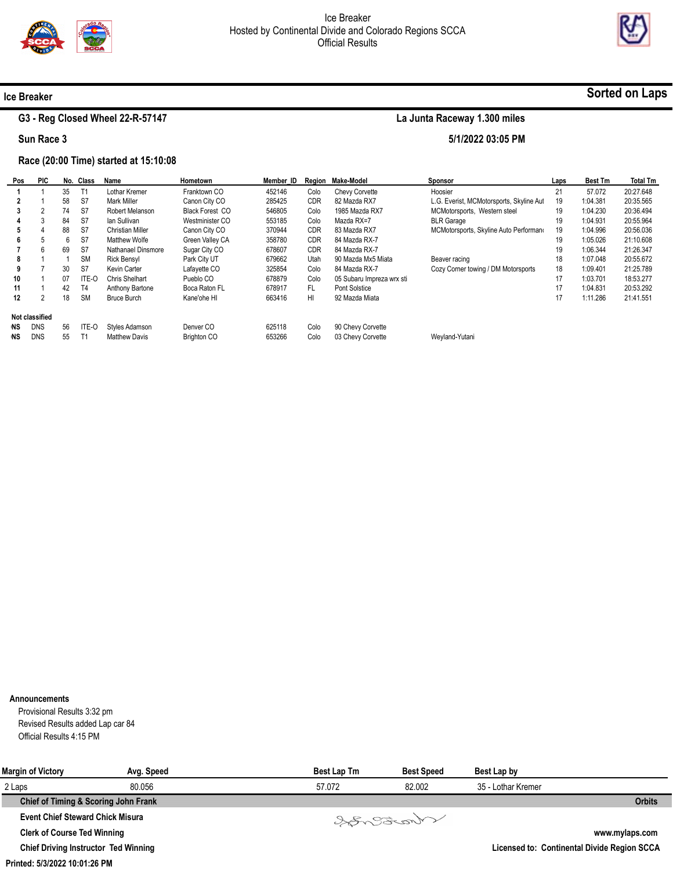

5/1/2022 03:05 PM



# Sorted on Laps

# G3 - Reg Closed Wheel 22-R-57147

Sun Race 3

Ice Breaker

### Race (20:00 Time) started at 15:10:08

| Pos | <b>PIC</b>            |    | No. Class | Name                 | Hometown               | Member ID |            | Region Make-Model         | Sponsor                                  | Laps | <b>Best Tm</b> | <b>Total Tm</b> |
|-----|-----------------------|----|-----------|----------------------|------------------------|-----------|------------|---------------------------|------------------------------------------|------|----------------|-----------------|
|     |                       | 35 |           | Lothar Kremer        | Franktown CO           | 452146    | Colo       | Chevy Corvette            | Hoosier                                  | 21   | 57.072         | 20:27.648       |
|     |                       | 58 | S7        | Mark Miller          | Canon City CO          | 285425    | <b>CDR</b> | 82 Mazda RX7              | L.G. Everist, MCMotorsports, Skyline Aut | 19   | 1:04.381       | 20:35.565       |
| 3   |                       | 74 | S7        | Robert Melanson      | <b>Black Forest CO</b> | 546805    | Colo       | 1985 Mazda RX7            | MCMotorsports, Western steel             | 19   | 1:04.230       | 20:36.494       |
|     |                       | 84 | S7        | lan Sullivan         | Westminister CO        | 553185    | Colo       | Mazda RX=7                | <b>BLR Garage</b>                        | 19   | 1:04.931       | 20:55.964       |
| 5   |                       | 88 | S7        | Christian Miller     | Canon City CO          | 370944    | <b>CDR</b> | 83 Mazda RX7              | MCMotorsports, Skyline Auto Performano   | 19   | 1:04.996       | 20:56.036       |
| 6   |                       | 6  | S7        | Matthew Wolfe        | Green Valley CA        | 358780    | <b>CDR</b> | 84 Mazda RX-7             |                                          | 19   | 1:05.026       | 21:10.608       |
|     | 6                     | 69 | S7        | Nathanael Dinsmore   | Sugar City CO          | 678607    | <b>CDR</b> | 84 Mazda RX-7             |                                          | 19   | 1:06.344       | 21:26.347       |
| 8   |                       |    | <b>SM</b> | <b>Rick Bensyl</b>   | Park City UT           | 679662    | Utah       | 90 Mazda Mx5 Miata        | Beaver racing                            | 18   | 1:07.048       | 20:55.672       |
| 9   |                       | 30 | S7        | Kevin Carter         | Lafayette CO           | 325854    | Colo       | 84 Mazda RX-7             | Cozy Corner towing / DM Motorsports      | 18   | 1:09.401       | 21:25.789       |
| 10  |                       | 07 | ITE-O     | Chris Shelhart       | Pueblo CO              | 678879    | Colo       | 05 Subaru Impreza wrx sti |                                          | 17   | 1:03.701       | 18:53.277       |
| 11  |                       | 42 | T4        | Anthony Bartone      | Boca Raton FL          | 678917    | FL.        | Pont Solstice             |                                          | 17   | 1:04.831       | 20:53.292       |
| 12  |                       | 18 | <b>SM</b> | Bruce Burch          | Kane'ohe HI            | 663416    | HI         | 92 Mazda Miata            |                                          | 17   | 1:11.286       | 21:41.551       |
|     | <b>Not classified</b> |    |           |                      |                        |           |            |                           |                                          |      |                |                 |
| NS. | <b>DNS</b>            | 56 | ITE-O     | Styles Adamson       | Denver CO              | 625118    | Colo       | 90 Chevy Corvette         |                                          |      |                |                 |
| ΝS  | <b>DNS</b>            | 55 |           | <b>Matthew Davis</b> | <b>Brighton CO</b>     | 653266    | Colo       | 03 Chevy Corvette         | Wevland-Yutani                           |      |                |                 |

#### Announcements

Provisional Results 3:32 pm Revised Results added Lap car 84 Official Results 4:15 PM

| <b>Margin of Victory</b>                    | Avg. Speed | <b>Best Lap Tm</b> | <b>Best Speed</b> | Best Lap by        |                                             |
|---------------------------------------------|------------|--------------------|-------------------|--------------------|---------------------------------------------|
| 2 Laps                                      | 80.056     | 57.072             | 82.002            | 35 - Lothar Kremer |                                             |
| Chief of Timing & Scoring John Frank        |            |                    |                   |                    | <b>Orbits</b>                               |
| <b>Event Chief Steward Chick Misura</b>     |            |                    | Varant            |                    |                                             |
| <b>Clerk of Course Ted Winning</b>          |            |                    |                   |                    | www.mylaps.com                              |
| <b>Chief Driving Instructor Ted Winning</b> |            |                    |                   |                    | Licensed to: Continental Divide Region SCCA |

Printed: 5/3/2022 10:01:26 PM